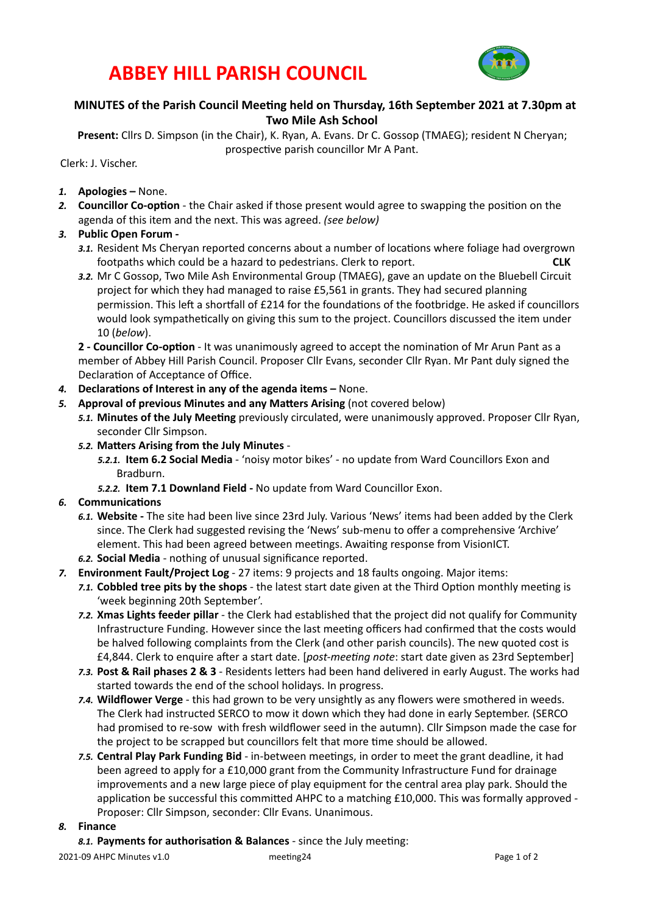## **ABBEY HILL PARISH COUNCIL**



### **MINUTES** of the Parish Council Meeting held on Thursday, 16th September 2021 at 7.30pm at **Two Mile Ash School**

Present: Cllrs D. Simpson (in the Chair), K. Ryan, A. Evans. Dr C. Gossop (TMAEG); resident N Cheryan; prospective parish councillor Mr A Pant.

Clerk: J. Vischer. 

- 1. **Apologies** None.
- 2. **Councillor Co-option** the Chair asked if those present would agree to swapping the position on the agenda of this item and the next. This was agreed. *(see below)*
- 3. Public Open Forum -
	- 3.1. Resident Ms Cheryan reported concerns about a number of locations where foliage had overgrown footpaths which could be a hazard to pedestrians. Clerk to report. **CLK**
	- 3.2. Mr C Gossop, Two Mile Ash Environmental Group (TMAEG), gave an update on the Bluebell Circuit project for which they had managed to raise £5,561 in grants. They had secured planning permission. This left a shortfall of £214 for the foundations of the footbridge. He asked if councillors would look sympathetically on giving this sum to the project. Councillors discussed the item under 10 (*below*).

**2** - **Councillor Co-option** - It was unanimously agreed to accept the nomination of Mr Arun Pant as a member of Abbey Hill Parish Council. Proposer Cllr Evans, seconder Cllr Ryan. Mr Pant duly signed the Declaration of Acceptance of Office.

- 4. **Declarations of Interest in any of the agenda items –** None.
- 5. **Approval of previous Minutes and any Matters Arising** (not covered below)
	- 5.1. Minutes of the July Meeting previously circulated, were unanimously approved. Proposer Cllr Ryan, seconder Cllr Simpson.
	- 5.2. Matters Arising from the July Minutes -

5.2.1. **Item 6.2 Social Media** - 'noisy motor bikes' - no update from Ward Councillors Exon and Bradburn. 

- 5.2.2. Item 7.1 Downland Field No update from Ward Councillor Exon.
- **6.** Communications
	- 6.1. Website The site had been live since 23rd July. Various 'News' items had been added by the Clerk since. The Clerk had suggested revising the 'News' sub-menu to offer a comprehensive 'Archive' element. This had been agreed between meetings. Awaiting response from VisionICT.
	- 6.2. Social Media nothing of unusual significance reported.
- **7. Environment Fault/Project Log** 27 items: 9 projects and 18 faults ongoing. Major items:
	- 7.1. Cobbled tree pits by the shops the latest start date given at the Third Option monthly meeting is 'week beginning 20th September'.
	- 7.2. Xmas Lights feeder pillar the Clerk had established that the project did not qualify for Community Infrastructure Funding. However since the last meeting officers had confirmed that the costs would be halved following complaints from the Clerk (and other parish councils). The new quoted cost is £4,844. Clerk to enquire after a start date. [*post-meeting note: start date given as 23rd September*]
	- 7.3. Post & Rail phases 2 & 3 Residents letters had been hand delivered in early August. The works had started towards the end of the school holidays. In progress.
	- **7.4. Wildflower Verge** this had grown to be very unsightly as any flowers were smothered in weeds. The Clerk had instructed SERCO to mow it down which they had done in early September. (SERCO had promised to re-sow with fresh wildflower seed in the autumn). Cllr Simpson made the case for the project to be scrapped but councillors felt that more time should be allowed.
	- **7.5. Central Play Park Funding Bid** in-between meetings, in order to meet the grant deadline, it had been agreed to apply for a £10,000 grant from the Community Infrastructure Fund for drainage improvements and a new large piece of play equipment for the central area play park. Should the application be successful this committed AHPC to a matching £10,000. This was formally approved -Proposer: Cllr Simpson, seconder: Cllr Evans. Unanimous.

#### 8. **Finance**

8.1. Payments for authorisation & Balances - since the July meeting:

2021-09 AHPC Minutes v1.0 meeBng24 Page 1 of 2